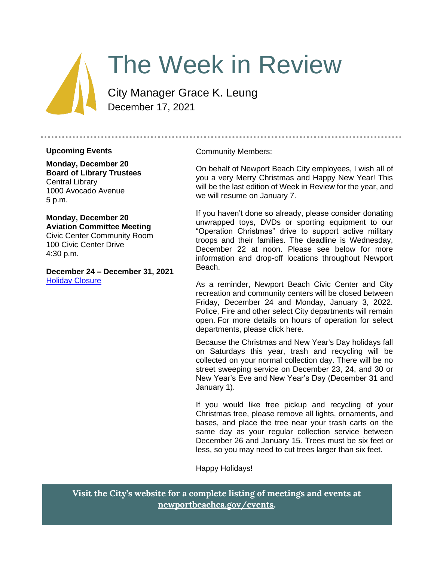

# The Week in Review

City Manager Grace K. Leung December 17, 2021

#### **Upcoming Events**

**Monday, December 20 Board of Library Trustees** Central Library 1000 Avocado Avenue 5 p.m.

## **Monday, December 20 Aviation Committee Meeting**

Civic Center Community Room 100 Civic Center Drive 4:30 p.m.

**December 24 – December 31, 2021** [Holiday Closure](https://newportbeachca.gov/Home/Components/Calendar/Event/67663/72)

#### Community Members:

On behalf of Newport Beach City employees, I wish all of you a very Merry Christmas and Happy New Year! This will be the last edition of Week in Review for the year, and we will resume on January 7.

If you haven't done so already, please consider donating unwrapped toys, DVDs or sporting equipment to our "Operation Christmas" drive to support active military troops and their families. The deadline is Wednesday, December 22 at noon. Please see below for more information and drop-off locations throughout Newport Beach.

As a reminder, Newport Beach Civic Center and City recreation and community centers will be closed between Friday, December 24 and Monday, January 3, 2022. Police, Fire and other select City departments will remain open. For more details on hours of operation for select departments, please [click here.](https://newportbeachca.gov/home/showpublisheddocument/69111/637744789043800000)

Because the Christmas and New Year's Day holidays fall on Saturdays this year, trash and recycling will be collected on your normal collection day. There will be no street sweeping service on December 23, 24, and 30 or New Year's Eve and New Year's Day (December 31 and January 1).

If you would like free pickup and recycling of your Christmas tree, please remove all lights, ornaments, and bases, and place the tree near your trash carts on the same day as your regular collection service between December 26 and January 15. Trees must be six feet or less, so you may need to cut trees larger than six feet.

Happy Holidays!

**Visit the City's website for a complete listing of meetings and events at [newportbeachca.gov/events.](https://www.newportbeachca.gov/government/data-hub/city-calendar)**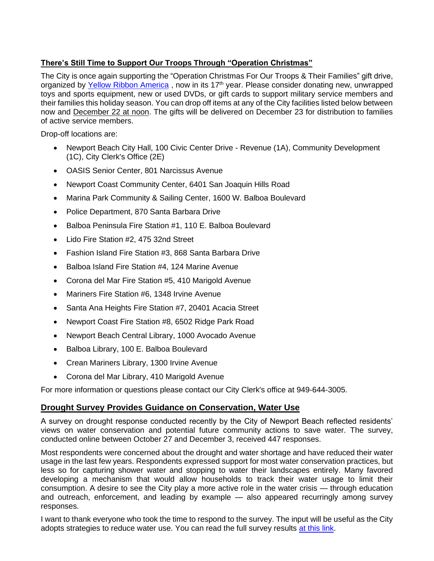# **There's Still Time to Support Our Troops Through "Operation Christmas"**

The City is once again supporting the "Operation Christmas For Our Troops & Their Families" gift drive, organized by [Yellow Ribbon America](https://wp.yellowribbonamerica.org/), now in its 17<sup>th</sup> year. Please consider donating new, unwrapped toys and sports equipment, new or used DVDs, or gift cards to support military service members and their families this holiday season. You can drop off items at any of the City facilities listed below between now and December 22 at noon. The gifts will be delivered on December 23 for distribution to families of active service members.

Drop-off locations are:

- Newport Beach City Hall, 100 Civic Center Drive Revenue (1A), Community Development (1C), City Clerk's Office (2E)
- OASIS Senior Center, 801 Narcissus Avenue
- Newport Coast Community Center, 6401 San Joaquin Hills Road
- Marina Park Community & Sailing Center, 1600 W. Balboa Boulevard
- Police Department, 870 Santa Barbara Drive
- Balboa Peninsula Fire Station #1, 110 E. Balboa Boulevard
- Lido Fire Station #2, 475 32nd Street
- Fashion Island Fire Station #3, 868 Santa Barbara Drive
- Balboa Island Fire Station #4, 124 Marine Avenue
- Corona del Mar Fire Station #5, 410 Marigold Avenue
- Mariners Fire Station #6, 1348 Irvine Avenue
- Santa Ana Heights Fire Station #7, 20401 Acacia Street
- Newport Coast Fire Station #8, 6502 Ridge Park Road
- Newport Beach Central Library, 1000 Avocado Avenue
- Balboa Library, 100 E. Balboa Boulevard
- Crean Mariners Library, 1300 Irvine Avenue
- Corona del Mar Library, 410 Marigold Avenue

For more information or questions please contact our City Clerk's office at 949-644-3005.

# **Drought Survey Provides Guidance on Conservation, Water Use**

A survey on drought response conducted recently by the City of Newport Beach reflected residents' views on water conservation and potential future community actions to save water. The survey, conducted online between October 27 and December 3, received 447 responses.

Most respondents were concerned about the drought and water shortage and have reduced their water usage in the last few years. Respondents expressed support for most water conservation practices, but less so for capturing shower water and stopping to water their landscapes entirely. Many favored developing a mechanism that would allow households to track their water usage to limit their consumption. A desire to see the City play a more active role in the water crisis — through education and outreach, enforcement, and leading by example — also appeared recurringly among survey responses.

I want to thank everyone who took the time to respond to the survey. The input will be useful as the City adopts strategies to reduce water use. You can read the full survey results [at this link.](https://www.newportbeachca.gov/home/showdocument?id=70984&t=637752652439450280)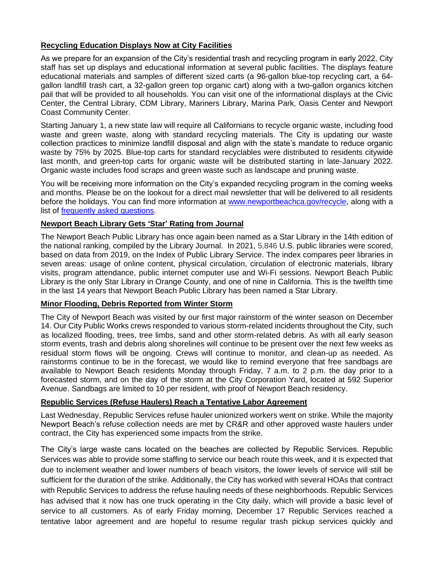## **Recycling Education Displays Now at City Facilities**

As we prepare for an expansion of the City's residential trash and recycling program in early 2022, City staff has set up displays and educational information at several public facilities. The displays feature educational materials and samples of different sized carts (a 96-gallon blue-top recycling cart, a 64 gallon landfill trash cart, a 32-gallon green top organic cart) along with a two-gallon organics kitchen pail that will be provided to all households. You can visit one of the informational displays at the Civic Center, the Central Library, CDM Library, Mariners Library, Marina Park, Oasis Center and Newport Coast Community Center.

Starting January 1, a new state law will require all Californians to recycle organic waste, including food waste and green waste, along with standard recycling materials. The City is updating our waste collection practices to minimize landfill disposal and align with the state's mandate to reduce organic waste by 75% by 2025. Blue-top carts for standard recyclables were distributed to residents citywide last month, and green-top carts for organic waste will be distributed starting in late-January 2022. Organic waste includes food scraps and green waste such as landscape and pruning waste.

You will be receiving more information on the City's expanded recycling program in the coming weeks and months. Please be on the lookout for a direct mail newsletter that will be delivered to all residents before the holidays. You can find more information at [www.newportbeachca.gov/recycle,](http://www.newportbeachca.gov/recycle) along with a list of [frequently asked questions.](https://www.newportbeachca.gov/home/showpublisheddocument/70926/637743833957070000)

#### **Newport Beach Library Gets 'Star' Rating from Journal**

The Newport Beach Public Library has once again been named as a Star Library in the 14th edition of the national ranking, compiled by the Library Journal. In 2021, 5,846 U.S. public libraries were scored, based on data from 2019, on the Index of Public Library Service. The index compares peer libraries in seven areas: usage of online content, physical circulation, circulation of electronic materials, library visits, program attendance, public internet computer use and Wi-Fi sessions. Newport Beach Public Library is the only Star Library in Orange County, and one of nine in California. This is the twelfth time in the last 14 years that Newport Beach Public Library has been named a Star Library.

#### **Minor Flooding, Debris Reported from Winter Storm**

The City of Newport Beach was visited by our first major rainstorm of the winter season on December 14. Our City Public Works crews responded to various storm-related incidents throughout the City, such as localized flooding, trees, tree limbs, sand and other storm-related debris. As with all early season storm events, trash and debris along shorelines will continue to be present over the next few weeks as residual storm flows will be ongoing. Crews will continue to monitor, and clean-up as needed. As rainstorms continue to be in the forecast, we would like to remind everyone that free sandbags are available to Newport Beach residents Monday through Friday, 7 a.m. to 2 p.m. the day prior to a forecasted storm, and on the day of the storm at the City Corporation Yard, located at 592 Superior Avenue. Sandbags are limited to 10 per resident, with proof of Newport Beach residency.

#### **Republic Services (Refuse Haulers) Reach a Tentative Labor Agreement**

Last Wednesday, Republic Services refuse hauler unionized workers went on strike. While the majority Newport Beach's refuse collection needs are met by CR&R and other approved waste haulers under contract, the City has experienced some impacts from the strike.

The City's large waste cans located on the beaches are collected by Republic Services. Republic Services was able to provide some staffing to service our beach route this week, and it is expected that due to inclement weather and lower numbers of beach visitors, the lower levels of service will still be sufficient for the duration of the strike. Additionally, the City has worked with several HOAs that contract with Republic Services to address the refuse hauling needs of these neighborhoods. Republic Services has advised that it now has one truck operating in the City daily, which will provide a basic level of service to all customers. As of early Friday morning, December 17 Republic Services reached a tentative labor agreement and are hopeful to resume regular trash pickup services quickly and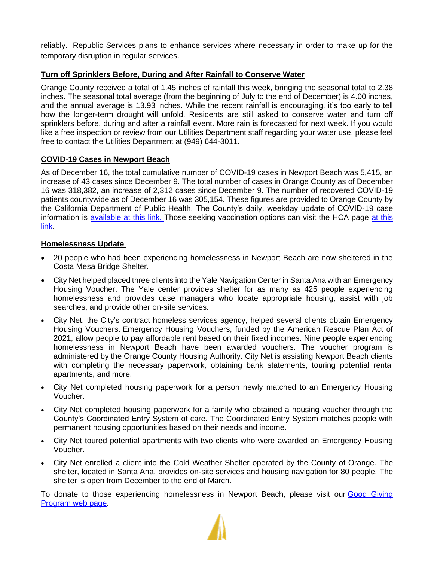reliably. Republic Services plans to enhance services where necessary in order to make up for the temporary disruption in regular services.

## **Turn off Sprinklers Before, During and After Rainfall to Conserve Water**

Orange County received a total of 1.45 inches of rainfall this week, bringing the seasonal total to 2.38 inches. The seasonal total average (from the beginning of July to the end of December) is 4.00 inches, and the annual average is 13.93 inches. While the recent rainfall is encouraging, it's too early to tell how the longer-term drought will unfold. Residents are still asked to conserve water and turn off sprinklers before, during and after a rainfall event. More rain is forecasted for next week. If you would like a free inspection or review from our Utilities Department staff regarding your water use, please feel free to contact the Utilities Department at (949) 644-3011.

## **COVID-19 Cases in Newport Beach**

As of December 16, the total cumulative number of COVID-19 cases in Newport Beach was 5,415, an increase of 43 cases since December 9. The total number of cases in Orange County as of December 16 was 318,382, an increase of 2,312 cases since December 9. The number of recovered COVID-19 patients countywide as of December 16 was 305,154. These figures are provided to Orange County by the California Department of Public Health. The County's daily, weekday update of COVID-19 case information is [available at this link.](https://ochca.maps.arcgis.com/apps/dashboards/cc4859c8c522496b9f21c451de2fedae) Those seeking vaccination options can visit the HCA page at this [link.](https://occovid19.ochealthinfo.com/covid-19-vaccine-distribution-channels)

#### **Homelessness Update**

- 20 people who had been experiencing homelessness in Newport Beach are now sheltered in the Costa Mesa Bridge Shelter.
- City Net helped placed three clients into the Yale Navigation Center in Santa Ana with an Emergency Housing Voucher. The Yale center provides shelter for as many as 425 people experiencing homelessness and provides case managers who locate appropriate housing, assist with job searches, and provide other on-site services.
- City Net, the City's contract homeless services agency, helped several clients obtain Emergency Housing Vouchers. Emergency Housing Vouchers, funded by the American Rescue Plan Act of 2021, allow people to pay affordable rent based on their fixed incomes. Nine people experiencing homelessness in Newport Beach have been awarded vouchers. The voucher program is administered by the Orange County Housing Authority. City Net is assisting Newport Beach clients with completing the necessary paperwork, obtaining bank statements, touring potential rental apartments, and more.
- City Net completed housing paperwork for a person newly matched to an Emergency Housing Voucher.
- City Net completed housing paperwork for a family who obtained a housing voucher through the County's Coordinated Entry System of care. The Coordinated Entry System matches people with permanent housing opportunities based on their needs and income.
- City Net toured potential apartments with two clients who were awarded an Emergency Housing Voucher.
- City Net enrolled a client into the Cold Weather Shelter operated by the County of Orange. The shelter, located in Santa Ana, provides on-site services and housing navigation for 80 people. The shelter is open from December to the end of March.

To donate to those experiencing homelessness in Newport Beach, please visit our Good Giving [Program web page.](https://newportbeachca.gov/trending/community-issues/homelessness/how-you-can-help)